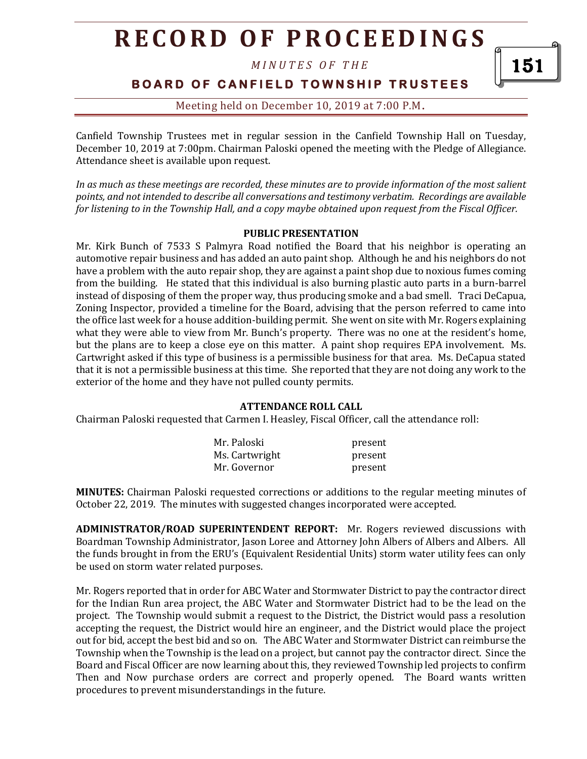*M I N U T E S O F T H E* 

**BOARD OF CANFIELD TOWNSHIP TRUSTEES** 

Meeting held on December 10, 2019 at 7:00 P.M**.**

Canfield Township Trustees met in regular session in the Canfield Township Hall on Tuesday, December 10, 2019 at 7:00pm. Chairman Paloski opened the meeting with the Pledge of Allegiance. Attendance sheet is available upon request.

*In as much as these meetings are recorded, these minutes are to provide information of the most salient points, and not intended to describe all conversations and testimony verbatim. Recordings are available for listening to in the Township Hall, and a copy maybe obtained upon request from the Fiscal Officer.* 

#### **PUBLIC PRESENTATION**

Mr. Kirk Bunch of 7533 S Palmyra Road notified the Board that his neighbor is operating an automotive repair business and has added an auto paint shop. Although he and his neighbors do not have a problem with the auto repair shop, they are against a paint shop due to noxious fumes coming from the building. He stated that this individual is also burning plastic auto parts in a burn-barrel instead of disposing of them the proper way, thus producing smoke and a bad smell. Traci DeCapua, Zoning Inspector, provided a timeline for the Board, advising that the person referred to came into the office last week for a house addition-building permit. She went on site with Mr. Rogers explaining what they were able to view from Mr. Bunch's property. There was no one at the resident's home, but the plans are to keep a close eye on this matter. A paint shop requires EPA involvement. Ms. Cartwright asked if this type of business is a permissible business for that area. Ms. DeCapua stated that it is not a permissible business at this time. She reported that they are not doing any work to the exterior of the home and they have not pulled county permits.

#### **ATTENDANCE ROLL CALL**

Chairman Paloski requested that Carmen I. Heasley, Fiscal Officer, call the attendance roll:

| Mr. Paloski    | present |
|----------------|---------|
| Ms. Cartwright | present |
| Mr. Governor   | present |

**MINUTES:** Chairman Paloski requested corrections or additions to the regular meeting minutes of October 22, 2019. The minutes with suggested changes incorporated were accepted.

**ADMINISTRATOR/ROAD SUPERINTENDENT REPORT:** Mr. Rogers reviewed discussions with Boardman Township Administrator, Jason Loree and Attorney John Albers of Albers and Albers. All the funds brought in from the ERU's (Equivalent Residential Units) storm water utility fees can only be used on storm water related purposes.

Mr. Rogers reported that in order for ABC Water and Stormwater District to pay the contractor direct for the Indian Run area project, the ABC Water and Stormwater District had to be the lead on the project. The Township would submit a request to the District, the District would pass a resolution accepting the request, the District would hire an engineer, and the District would place the project out for bid, accept the best bid and so on. The ABC Water and Stormwater District can reimburse the Township when the Township is the lead on a project, but cannot pay the contractor direct. Since the Board and Fiscal Officer are now learning about this, they reviewed Township led projects to confirm Then and Now purchase orders are correct and properly opened. The Board wants written procedures to prevent misunderstandings in the future.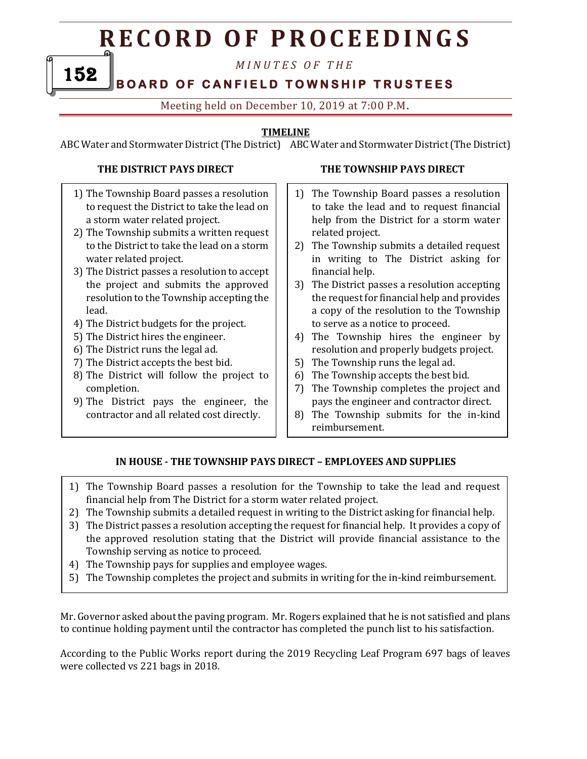*M I N U T E S O F T H E* 

### **BOARD OF CANFIELD TOWNSHIP TRUSTEES**

### Meeting held on December 10, 2019 at 7:00 P.M**.**

### **TIMELINE**

ABC Water and Stormwater District(The District) ABC Water and Stormwater District(The District)

- 1) The Township Board passes a resolution to request the District to take the lead on a storm water related project.
- 2) The Township submits a written request to the District to take the lead on a storm water related project.
- 3) The District passes a resolution to accept the project and submits the approved resolution to the Township accepting the lead.
- 4) The District budgets for the project.
- 5) The District hires the engineer.
- 6) The District runs the legal ad.
- 7) The District accepts the best bid.
- 8) The District will follow the project to completion.
- 9) The District pays the engineer, the contractor and all related cost directly.

### THE DISTRICT PAYS DIRECT **THE TOWNSHIP PAYS DIRECT**

- 1) The Township Board passes a resolution to take the lead and to request financial help from the District for a storm water related project.
- 2) The Township submits a detailed request in writing to The District asking for financial help.
- 3) The District passes a resolution accepting the request for financial help and provides a copy of the resolution to the Township to serve as a notice to proceed.
- 4) The Township hires the engineer by resolution and properly budgets project.
- 5) The Township runs the legal ad.
- 6) The Township accepts the best bid.
- 7) The Township completes the project and pays the engineer and contractor direct.
- 8) The Township submits for the in-kind reimbursement.

### **IN HOUSE - THE TOWNSHIP PAYS DIRECT – EMPLOYEES AND SUPPLIES**

- 1) The Township Board passes a resolution for the Township to take the lead and request financial help from The District for a storm water related project.
- 2) The Township submits a detailed request in writing to the District asking for financial help.
- 3) The District passes a resolution accepting the request for financial help. It provides a copy of the approved resolution stating that the District will provide financial assistance to the Township serving as notice to proceed.
- 4) The Township pays for supplies and employee wages.
- 5) The Township completes the project and submits in writing for the in-kind reimbursement.

Mr. Governor asked about the paving program. Mr. Rogers explained that he is not satisfied and plans to continue holding payment until the contractor has completed the punch list to his satisfaction.

According to the Public Works report during the 2019 Recycling Leaf Program 697 bags of leaves were collected vs 221 bags in 2018.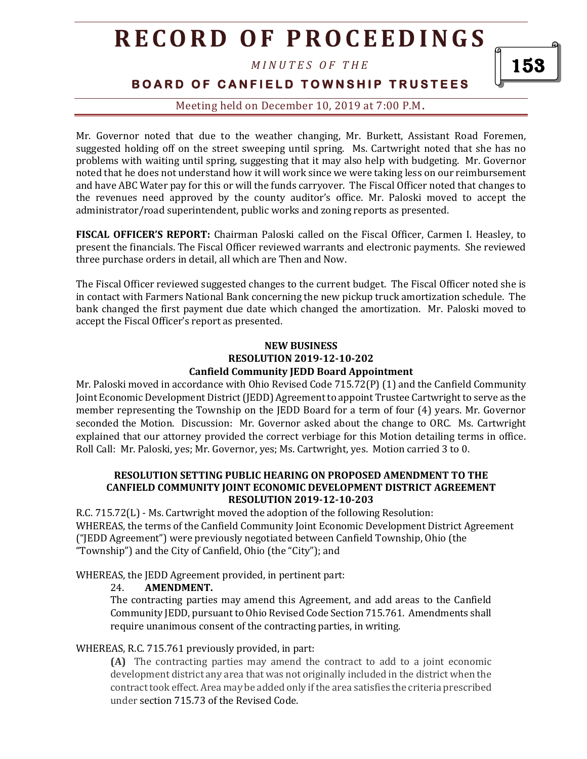*M I N U T E S O F T H E* 

**BOARD OF CANFIELD TOWNSHIP TRUSTEES** 

Meeting held on December 10, 2019 at 7:00 P.M**.**

Mr. Governor noted that due to the weather changing, Mr. Burkett, Assistant Road Foremen, suggested holding off on the street sweeping until spring. Ms. Cartwright noted that she has no problems with waiting until spring, suggesting that it may also help with budgeting. Mr. Governor noted that he does not understand how it will work since we were taking less on our reimbursement and have ABC Water pay for this or will the funds carryover. The Fiscal Officer noted that changes to the revenues need approved by the county auditor's office. Mr. Paloski moved to accept the administrator/road superintendent, public works and zoning reports as presented.

**FISCAL OFFICER'S REPORT:** Chairman Paloski called on the Fiscal Officer, Carmen I. Heasley, to present the financials. The Fiscal Officer reviewed warrants and electronic payments. She reviewed three purchase orders in detail, all which are Then and Now.

The Fiscal Officer reviewed suggested changes to the current budget. The Fiscal Officer noted she is in contact with Farmers National Bank concerning the new pickup truck amortization schedule. The bank changed the first payment due date which changed the amortization. Mr. Paloski moved to accept the Fiscal Officer's report as presented.

### **NEW BUSINESS RESOLUTION 2019-12-10-202 Canfield Community JEDD Board Appointment**

Mr. Paloski moved in accordance with Ohio Revised Code 715.72(P) (1) and the Canfield Community Joint Economic Development District (JEDD) Agreement to appoint Trustee Cartwright to serve as the member representing the Township on the JEDD Board for a term of four (4) years. Mr. Governor seconded the Motion. Discussion: Mr. Governor asked about the change to ORC. Ms. Cartwright explained that our attorney provided the correct verbiage for this Motion detailing terms in office. Roll Call: Mr. Paloski, yes; Mr. Governor, yes; Ms. Cartwright, yes. Motion carried 3 to 0.

#### **RESOLUTION SETTING PUBLIC HEARING ON PROPOSED AMENDMENT TO THE CANFIELD COMMUNITY JOINT ECONOMIC DEVELOPMENT DISTRICT AGREEMENT RESOLUTION 2019-12-10-203**

R.C. 715.72(L) - Ms. Cartwright moved the adoption of the following Resolution: WHEREAS, the terms of the Canfield Community Joint Economic Development District Agreement ("JEDD Agreement") were previously negotiated between Canfield Township, Ohio (the "Township") and the City of Canfield, Ohio (the "City"); and

WHEREAS, the JEDD Agreement provided, in pertinent part:

24. **AMENDMENT.** 

The contracting parties may amend this Agreement, and add areas to the Canfield Community JEDD, pursuant to Ohio Revised Code Section 715.761. Amendments shall require unanimous consent of the contracting parties, in writing.

WHEREAS, R.C. 715.761 previously provided, in part:

**(A)** The contracting parties may amend the contract to add to a joint economic development district any area that was not originally included in the district when the contract took effect. Area may be added only if the area satisfies the criteria prescribed under section 715.73 of the Revised Code.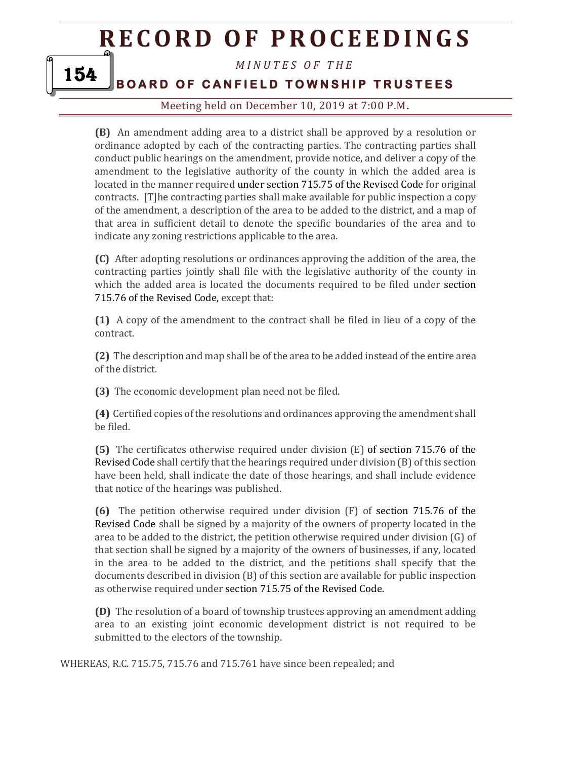*M I N U T E S O F T H E* 

**BOARD OF CANFIELD TOWNSHIP TRUSTEES** 

154

Meeting held on December 10, 2019 at 7:00 P.M**.**

**(B)** An amendment adding area to a district shall be approved by a resolution or ordinance adopted by each of the contracting parties. The contracting parties shall conduct public hearings on the amendment, provide notice, and deliver a copy of the amendment to the legislative authority of the county in which the added area is located in the manner required under section 715.75 of the Revised Code for original contracts. [T]he contracting parties shall make available for public inspection a copy of the amendment, a description of the area to be added to the district, and a map of that area in sufficient detail to denote the specific boundaries of the area and to indicate any zoning restrictions applicable to the area.

**(C)** After adopting resolutions or ordinances approving the addition of the area, the contracting parties jointly shall file with the legislative authority of the county in which the added area is located the documents required to be filed under section 715.76 of the Revised Code, except that:

**(1)** A copy of the amendment to the contract shall be filed in lieu of a copy of the contract.

**(2)** The description and map shall be of the area to be added instead of the entire area of the district.

**(3)** The economic development plan need not be filed.

**(4)** Certified copies of the resolutions and ordinances approving the amendment shall be filed.

**(5)** The certificates otherwise required under division (E) of section 715.76 of the Revised Code shall certify that the hearings required under division (B) of this section have been held, shall indicate the date of those hearings, and shall include evidence that notice of the hearings was published.

**(6)** The petition otherwise required under division (F) of section 715.76 of the Revised Code shall be signed by a majority of the owners of property located in the area to be added to the district, the petition otherwise required under division (G) of that section shall be signed by a majority of the owners of businesses, if any, located in the area to be added to the district, and the petitions shall specify that the documents described in division (B) of this section are available for public inspection as otherwise required under section 715.75 of the Revised Code.

**(D)** The resolution of a board of township trustees approving an amendment adding area to an existing joint economic development district is not required to be submitted to the electors of the township.

WHEREAS, R.C. 715.75, 715.76 and 715.761 have since been repealed; and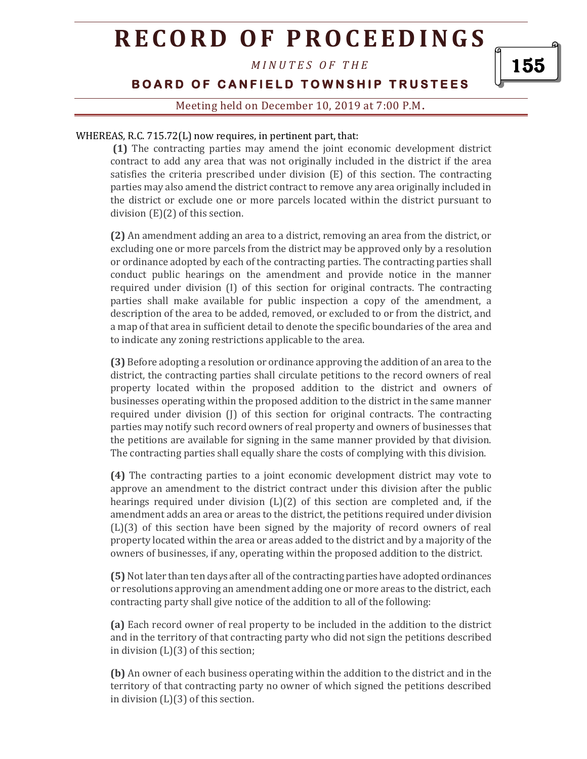*M I N U T E S O F T H E* 

**BOARD OF CANFIELD TOWNSHIP TRUSTEES** 

Meeting held on December 10, 2019 at 7:00 P.M**.**

#### WHEREAS, R.C. 715.72(L) now requires, in pertinent part, that:

**(1)** The contracting parties may amend the joint economic development district contract to add any area that was not originally included in the district if the area satisfies the criteria prescribed under division (E) of this section. The contracting parties may also amend the district contract to remove any area originally included in the district or exclude one or more parcels located within the district pursuant to division (E)(2) of this section.

**(2)** An amendment adding an area to a district, removing an area from the district, or excluding one or more parcels from the district may be approved only by a resolution or ordinance adopted by each of the contracting parties. The contracting parties shall conduct public hearings on the amendment and provide notice in the manner required under division (I) of this section for original contracts. The contracting parties shall make available for public inspection a copy of the amendment, a description of the area to be added, removed, or excluded to or from the district, and a map of that area in sufficient detail to denote the specific boundaries of the area and to indicate any zoning restrictions applicable to the area.

**(3)** Before adopting a resolution or ordinance approving the addition of an area to the district, the contracting parties shall circulate petitions to the record owners of real property located within the proposed addition to the district and owners of businesses operating within the proposed addition to the district in the same manner required under division (J) of this section for original contracts. The contracting parties may notify such record owners of real property and owners of businesses that the petitions are available for signing in the same manner provided by that division. The contracting parties shall equally share the costs of complying with this division.

**(4)** The contracting parties to a joint economic development district may vote to approve an amendment to the district contract under this division after the public hearings required under division  $(L)(2)$  of this section are completed and, if the amendment adds an area or areas to the district, the petitions required under division (L)(3) of this section have been signed by the majority of record owners of real property located within the area or areas added to the district and by a majority of the owners of businesses, if any, operating within the proposed addition to the district.

**(5)** Not later than ten days after all of the contracting parties have adopted ordinances or resolutions approving an amendment adding one or more areas to the district, each contracting party shall give notice of the addition to all of the following:

**(a)** Each record owner of real property to be included in the addition to the district and in the territory of that contracting party who did not sign the petitions described in division (L)(3) of this section;

**(b)** An owner of each business operating within the addition to the district and in the territory of that contracting party no owner of which signed the petitions described in division (L)(3) of this section.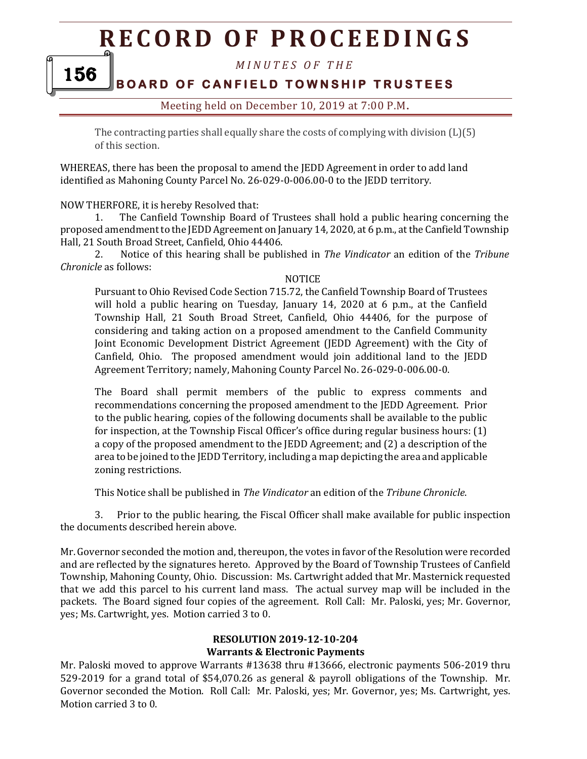*M I N U T E S O F T H E* 

#### **BOARD OF CANFIELD TOWNSHIP TRUSTEES** 156

### Meeting held on December 10, 2019 at 7:00 P.M**.**

The contracting parties shall equally share the costs of complying with division  $(L)(5)$ of this section.

WHEREAS, there has been the proposal to amend the JEDD Agreement in order to add land identified as Mahoning County Parcel No. 26-029-0-006.00-0 to the JEDD territory.

NOW THERFORE, it is hereby Resolved that:

1. The Canfield Township Board of Trustees shall hold a public hearing concerning the proposed amendment to the JEDD Agreement on January 14, 2020, at 6 p.m., at the Canfield Township Hall, 21 South Broad Street, Canfield, Ohio 44406.

2. Notice of this hearing shall be published in *The Vindicator* an edition of the *Tribune Chronicle* as follows:

#### NOTICE

Pursuant to Ohio Revised Code Section 715.72, the Canfield Township Board of Trustees will hold a public hearing on Tuesday, January 14, 2020 at 6 p.m., at the Canfield Township Hall, 21 South Broad Street, Canfield, Ohio 44406, for the purpose of considering and taking action on a proposed amendment to the Canfield Community Joint Economic Development District Agreement (JEDD Agreement) with the City of Canfield, Ohio. The proposed amendment would join additional land to the JEDD Agreement Territory; namely, Mahoning County Parcel No. 26-029-0-006.00-0.

The Board shall permit members of the public to express comments and recommendations concerning the proposed amendment to the JEDD Agreement. Prior to the public hearing, copies of the following documents shall be available to the public for inspection, at the Township Fiscal Officer's office during regular business hours: (1) a copy of the proposed amendment to the JEDD Agreement; and (2) a description of the area to be joined to the JEDD Territory, including a map depicting the area and applicable zoning restrictions.

This Notice shall be published in *The Vindicator* an edition of the *Tribune Chronicle*.

3. Prior to the public hearing, the Fiscal Officer shall make available for public inspection the documents described herein above.

Mr. Governor seconded the motion and, thereupon, the votes in favor of the Resolution were recorded and are reflected by the signatures hereto. Approved by the Board of Township Trustees of Canfield Township, Mahoning County, Ohio. Discussion: Ms. Cartwright added that Mr. Masternick requested that we add this parcel to his current land mass. The actual survey map will be included in the packets. The Board signed four copies of the agreement. Roll Call: Mr. Paloski, yes; Mr. Governor, yes; Ms. Cartwright, yes. Motion carried 3 to 0.

#### **RESOLUTION 2019-12-10-204 Warrants & Electronic Payments**

Mr. Paloski moved to approve Warrants #13638 thru #13666, electronic payments 506-2019 thru 529-2019 for a grand total of \$54,070.26 as general & payroll obligations of the Township. Mr. Governor seconded the Motion. Roll Call: Mr. Paloski, yes; Mr. Governor, yes; Ms. Cartwright, yes. Motion carried 3 to 0.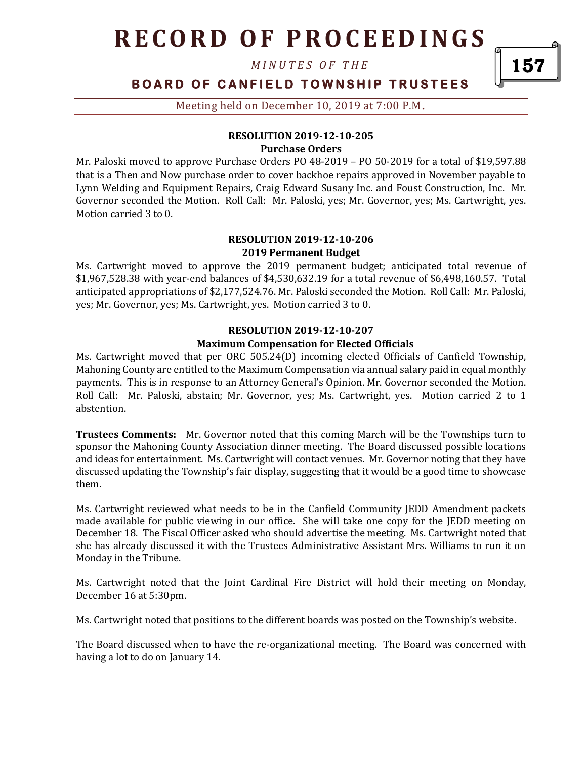*M I N U T E S O F T H E* 

### **BOARD OF CANFIELD TOWNSHIP TRUSTEES**

Meeting held on December 10, 2019 at 7:00 P.M**.**

#### **RESOLUTION 2019-12-10-205 Purchase Orders**

Mr. Paloski moved to approve Purchase Orders PO 48-2019 – PO 50-2019 for a total of \$19,597.88 that is a Then and Now purchase order to cover backhoe repairs approved in November payable to Lynn Welding and Equipment Repairs, Craig Edward Susany Inc. and Foust Construction, Inc. Mr. Governor seconded the Motion. Roll Call: Mr. Paloski, yes; Mr. Governor, yes; Ms. Cartwright, yes. Motion carried 3 to 0.

#### **RESOLUTION 2019-12-10-206 2019 Permanent Budget**

Ms. Cartwright moved to approve the 2019 permanent budget; anticipated total revenue of \$1,967,528.38 with year-end balances of \$4,530,632.19 for a total revenue of \$6,498,160.57. Total anticipated appropriations of \$2,177,524.76. Mr. Paloski seconded the Motion. Roll Call: Mr. Paloski, yes; Mr. Governor, yes; Ms. Cartwright, yes. Motion carried 3 to 0.

### **RESOLUTION 2019-12-10-207**

#### **Maximum Compensation for Elected Officials**

Ms. Cartwright moved that per ORC 505.24(D) incoming elected Officials of Canfield Township, Mahoning County are entitled to the Maximum Compensation via annual salary paid in equal monthly payments. This is in response to an Attorney General's Opinion. Mr. Governor seconded the Motion. Roll Call: Mr. Paloski, abstain; Mr. Governor, yes; Ms. Cartwright, yes. Motion carried 2 to 1 abstention.

**Trustees Comments:** Mr. Governor noted that this coming March will be the Townships turn to sponsor the Mahoning County Association dinner meeting. The Board discussed possible locations and ideas for entertainment. Ms. Cartwright will contact venues. Mr. Governor noting that they have discussed updating the Township's fair display, suggesting that it would be a good time to showcase them.

Ms. Cartwright reviewed what needs to be in the Canfield Community JEDD Amendment packets made available for public viewing in our office. She will take one copy for the JEDD meeting on December 18. The Fiscal Officer asked who should advertise the meeting. Ms. Cartwright noted that she has already discussed it with the Trustees Administrative Assistant Mrs. Williams to run it on Monday in the Tribune.

Ms. Cartwright noted that the Joint Cardinal Fire District will hold their meeting on Monday, December 16 at 5:30pm.

Ms. Cartwright noted that positions to the different boards was posted on the Township's website.

The Board discussed when to have the re-organizational meeting. The Board was concerned with having a lot to do on January 14.